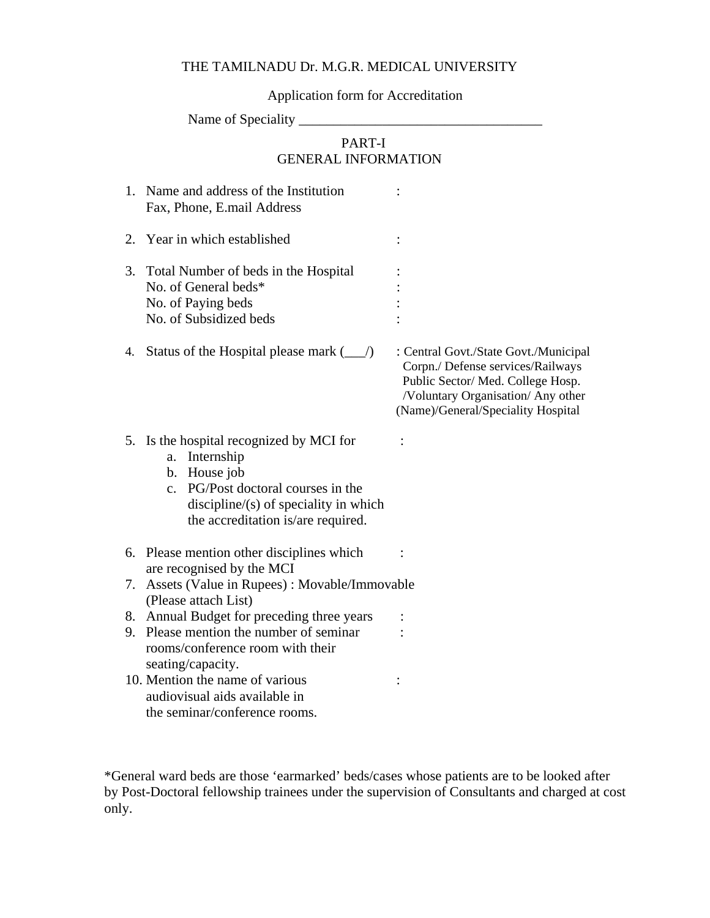## THE TAMILNADU Dr. M.G.R. MEDICAL UNIVERSITY

Application form for Accreditation

Name of Speciality \_\_\_\_\_\_\_\_\_\_\_\_\_\_\_\_\_\_\_\_\_\_\_\_\_\_\_\_\_\_\_\_\_\_\_

# PART-I GENERAL INFORMATION

|    | 1. Name and address of the Institution<br>Fax, Phone, E.mail Address                                                                                                                                                             |                                                                                                                                                                                             |
|----|----------------------------------------------------------------------------------------------------------------------------------------------------------------------------------------------------------------------------------|---------------------------------------------------------------------------------------------------------------------------------------------------------------------------------------------|
|    | 2. Year in which established                                                                                                                                                                                                     |                                                                                                                                                                                             |
| 3. | Total Number of beds in the Hospital<br>No. of General beds*<br>No. of Paying beds<br>No. of Subsidized beds                                                                                                                     |                                                                                                                                                                                             |
| 4. | Status of the Hospital please mark $(\_\_/)$                                                                                                                                                                                     | : Central Govt./State Govt./Municipal<br>Corpn./ Defense services/Railways<br>Public Sector/ Med. College Hosp.<br>/Voluntary Organisation/ Any other<br>(Name)/General/Speciality Hospital |
|    | 5. Is the hospital recognized by MCI for<br>Internship<br>a.<br>House job<br>$\mathbf{b}$ .<br>PG/Post doctoral courses in the<br>$\mathbf{c}$ .<br>$discipher/(s)$ of speciality in which<br>the accreditation is/are required. |                                                                                                                                                                                             |
|    | 6. Please mention other disciplines which<br>are recognised by the MCI                                                                                                                                                           |                                                                                                                                                                                             |
| 7. | Assets (Value in Rupees) : Movable/Immovable<br>(Please attach List)                                                                                                                                                             |                                                                                                                                                                                             |
|    | 8. Annual Budget for preceding three years                                                                                                                                                                                       |                                                                                                                                                                                             |
| 9. | Please mention the number of seminar                                                                                                                                                                                             |                                                                                                                                                                                             |
|    | rooms/conference room with their<br>seating/capacity.                                                                                                                                                                            |                                                                                                                                                                                             |
|    | 10. Mention the name of various                                                                                                                                                                                                  |                                                                                                                                                                                             |
|    | audiovisual aids available in                                                                                                                                                                                                    |                                                                                                                                                                                             |
|    | the seminar/conference rooms.                                                                                                                                                                                                    |                                                                                                                                                                                             |

\*General ward beds are those 'earmarked' beds/cases whose patients are to be looked after by Post-Doctoral fellowship trainees under the supervision of Consultants and charged at cost only.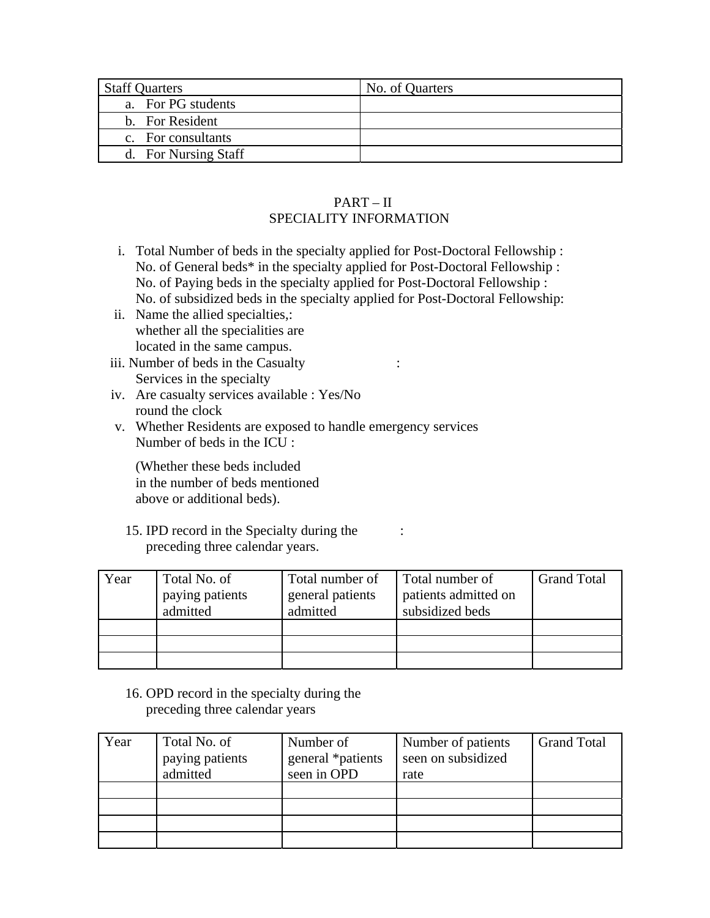| <b>Staff Quarters</b> | No. of Quarters |
|-----------------------|-----------------|
| a. For PG students    |                 |
| b. For Resident       |                 |
| c. For consultants    |                 |
| d. For Nursing Staff  |                 |

### PART – II SPECIALITY INFORMATION

- i. Total Number of beds in the specialty applied for Post-Doctoral Fellowship : No. of General beds\* in the specialty applied for Post-Doctoral Fellowship : No. of Paying beds in the specialty applied for Post-Doctoral Fellowship : No. of subsidized beds in the specialty applied for Post-Doctoral Fellowship:
- ii. Name the allied specialties,: whether all the specialities are located in the same campus.
- iii. Number of beds in the Casualty : Services in the specialty
- iv. Are casualty services available : Yes/No round the clock
- v. Whether Residents are exposed to handle emergency services Number of beds in the ICU :

(Whether these beds included in the number of beds mentioned above or additional beds).

15. IPD record in the Specialty during the preceding three calendar years.

| Year | Total No. of<br>paying patients<br>admitted | Total number of<br>general patients<br>admitted | Total number of<br>patients admitted on<br>subsidized beds | <b>Grand Total</b> |
|------|---------------------------------------------|-------------------------------------------------|------------------------------------------------------------|--------------------|
|      |                                             |                                                 |                                                            |                    |
|      |                                             |                                                 |                                                            |                    |
|      |                                             |                                                 |                                                            |                    |

:

16. OPD record in the specialty during the preceding three calendar years

| Year | Total No. of<br>paying patients<br>admitted | Number of<br>general *patients<br>seen in OPD | Number of patients<br>seen on subsidized<br>rate | <b>Grand Total</b> |
|------|---------------------------------------------|-----------------------------------------------|--------------------------------------------------|--------------------|
|      |                                             |                                               |                                                  |                    |
|      |                                             |                                               |                                                  |                    |
|      |                                             |                                               |                                                  |                    |
|      |                                             |                                               |                                                  |                    |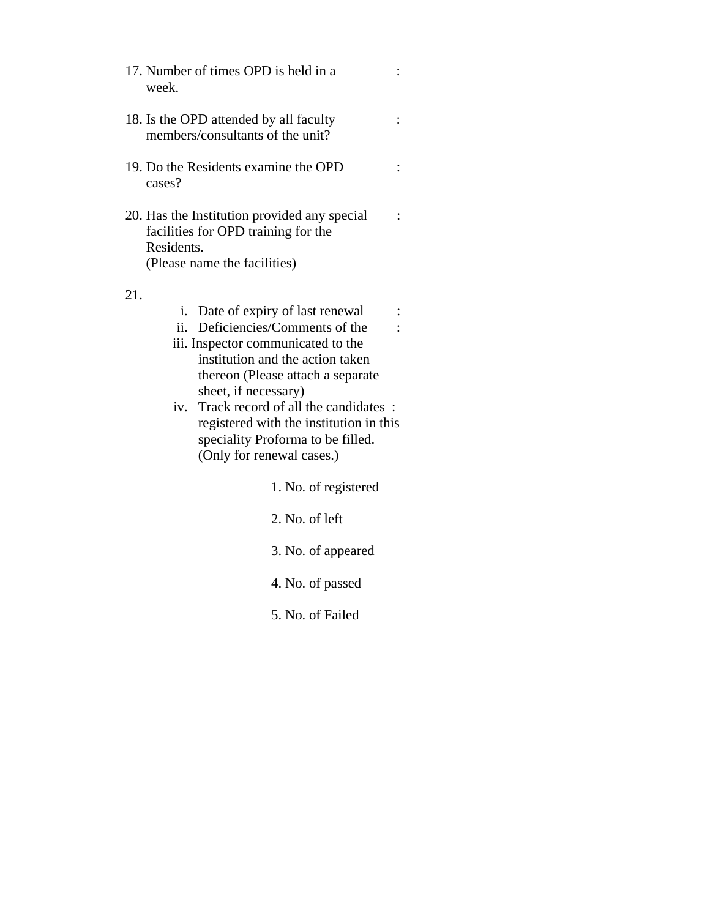- 17. Number of times OPD is held in a week.
- 18. Is the OPD attended by all faculty members/consultants of the unit?
- 19. Do the Residents examine the OPD cases?
- 20. Has the Institution provided any special facilities for OPD training for the Residents. (Please name the facilities)

#### 21.

- i. Date of expiry of last renewal :
- ii. Deficiencies/Comments of the :
- iii. Inspector communicated to the institution and the action taken thereon (Please attach a separate sheet, if necessary)
- iv. Track record of all the candidates : registered with the institution in this speciality Proforma to be filled. (Only for renewal cases.)

1. No. of registered

:

:

:

:

- 2. No. of left
- 3. No. of appeared
- 4. No. of passed
- 5. No. of Failed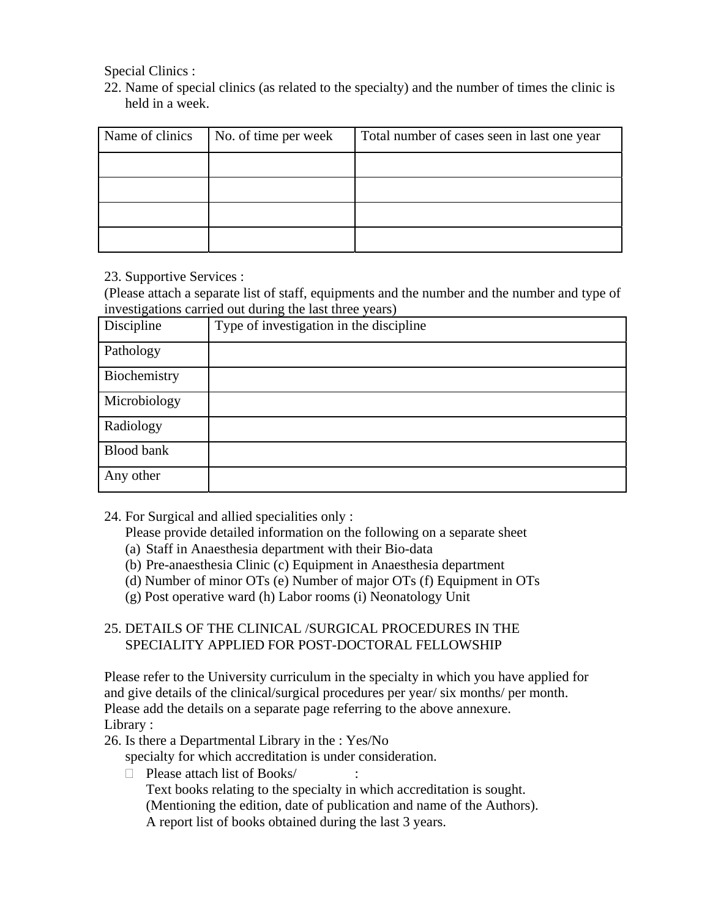Special Clinics :

22. Name of special clinics (as related to the specialty) and the number of times the clinic is held in a week.

| Name of clinics | No. of time per week | Total number of cases seen in last one year |
|-----------------|----------------------|---------------------------------------------|
|                 |                      |                                             |
|                 |                      |                                             |
|                 |                      |                                             |
|                 |                      |                                             |

23. Supportive Services :

(Please attach a separate list of staff, equipments and the number and the number and type of investigations carried out during the last three years)

| Discipline        | Type of investigation in the discipline |
|-------------------|-----------------------------------------|
| Pathology         |                                         |
| Biochemistry      |                                         |
| Microbiology      |                                         |
| Radiology         |                                         |
| <b>Blood bank</b> |                                         |
| Any other         |                                         |

- 24. For Surgical and allied specialities only :
	- Please provide detailed information on the following on a separate sheet
	- (a) Staff in Anaesthesia department with their Bio-data
	- (b) Pre-anaesthesia Clinic (c) Equipment in Anaesthesia department
	- (d) Number of minor OTs (e) Number of major OTs (f) Equipment in OTs
	- (g) Post operative ward (h) Labor rooms (i) Neonatology Unit

## 25. DETAILS OF THE CLINICAL /SURGICAL PROCEDURES IN THE SPECIALITY APPLIED FOR POST-DOCTORAL FELLOWSHIP

Please refer to the University curriculum in the specialty in which you have applied for and give details of the clinical/surgical procedures per year/ six months/ per month. Please add the details on a separate page referring to the above annexure. Library :

26. Is there a Departmental Library in the : Yes/No

specialty for which accreditation is under consideration.

 $\Box$  Please attach list of Books/ $\Box$  :

Text books relating to the specialty in which accreditation is sought. (Mentioning the edition, date of publication and name of the Authors). A report list of books obtained during the last 3 years.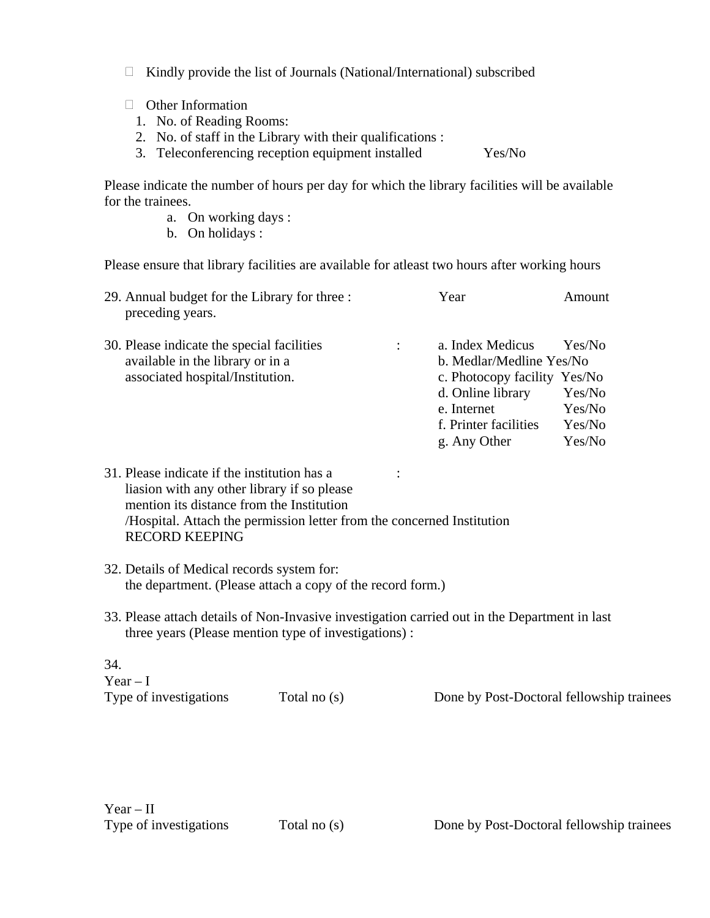- $\Box$  Kindly provide the list of Journals (National/International) subscribed
- □ Other Information
	- 1. No. of Reading Rooms:
	- 2. No. of staff in the Library with their qualifications :
	- Teleconferencing reception equipment installed 3. Yes/No

Please indicate the number of hours per day for which the library facilities will be available for the trainees.

- a. On working days :
- b. On holidays :

Please ensure that library facilities are available for atleast two hours after working hours

| 29. Annual budget for the Library for three :<br>preceding years.              | Year                                              | Amount           |
|--------------------------------------------------------------------------------|---------------------------------------------------|------------------|
| 30. Please indicate the special facilities<br>available in the library or in a | a. Index Medicus<br>b. Medlar/Medline Yes/No      | Yes/No           |
| associated hospital/Institution.                                               | c. Photocopy facility Yes/No<br>d. Online library | Yes/No           |
|                                                                                | e. Internet<br>f. Printer facilities              | Yes/No<br>Yes/No |
|                                                                                | g. Any Other                                      | Yes/No           |

- 31. Please indicate if the institution has a : liasion with any other library if so please mention its distance from the Institution /Hospital. Attach the permission letter from the concerned Institution RECORD KEEPING
- 32. Details of Medical records system for: the department. (Please attach a copy of the record form.)
- 33. Please attach details of Non-Invasive investigation carried out in the Department in last three years (Please mention type of investigations) :

34.  $Year - I$ 

Type of investigations Total no (s) Done by Post-Doctoral fellowship trainees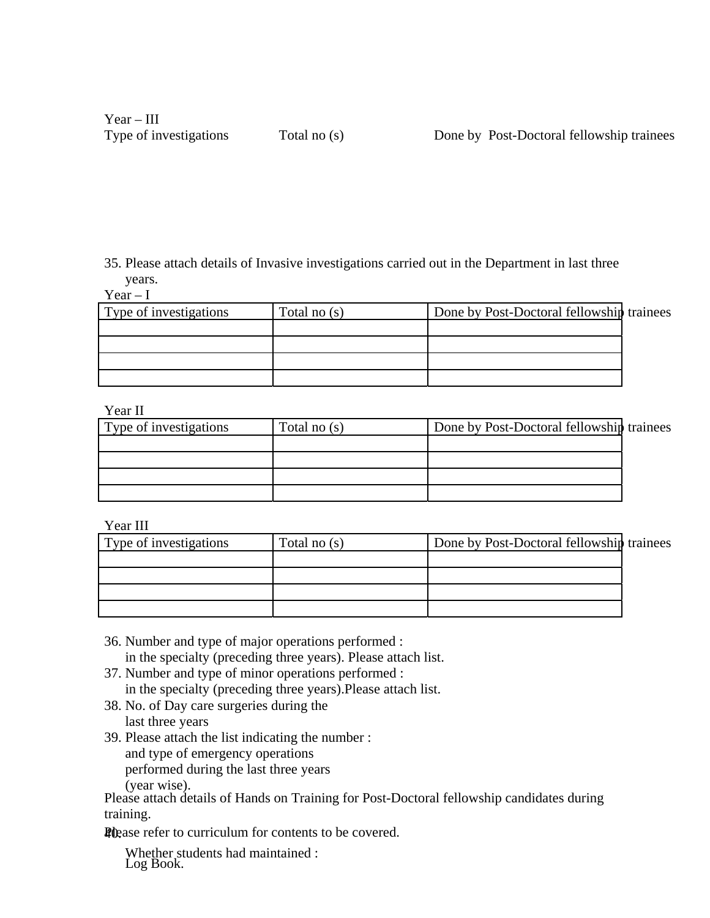35. Please attach details of Invasive investigations carried out in the Department in last three years.

 $Year - I$ 

| Type of investigations | Total no $(s)$ | Done by Post-Doctoral fellowship trainees |  |
|------------------------|----------------|-------------------------------------------|--|
|                        |                |                                           |  |
|                        |                |                                           |  |
|                        |                |                                           |  |
|                        |                |                                           |  |

#### Year II

| * * * * * * *          |                |                                           |  |
|------------------------|----------------|-------------------------------------------|--|
| Type of investigations | Total no $(s)$ | Done by Post-Doctoral fellowship trainees |  |
|                        |                |                                           |  |
|                        |                |                                           |  |
|                        |                |                                           |  |
|                        |                |                                           |  |

## Year III

| Type of investigations | Total no $(s)$ | Done by Post-Doctoral fellowship trainees |  |
|------------------------|----------------|-------------------------------------------|--|
|                        |                |                                           |  |
|                        |                |                                           |  |
|                        |                |                                           |  |
|                        |                |                                           |  |

- 36. Number and type of major operations performed : in the specialty (preceding three years). Please attach list.
- 37. Number and type of minor operations performed : in the specialty (preceding three years).Please attach list.
- 38. No. of Day care surgeries during the last three years
- 39. Please attach the list indicating the number : and type of emergency operations performed during the last three years (year wise).

Please attach details of Hands on Training for Post-Doctoral fellowship candidates during training.

**Please refer to curriculum for contents to be covered.** 

Whether students had maintained : Log Book.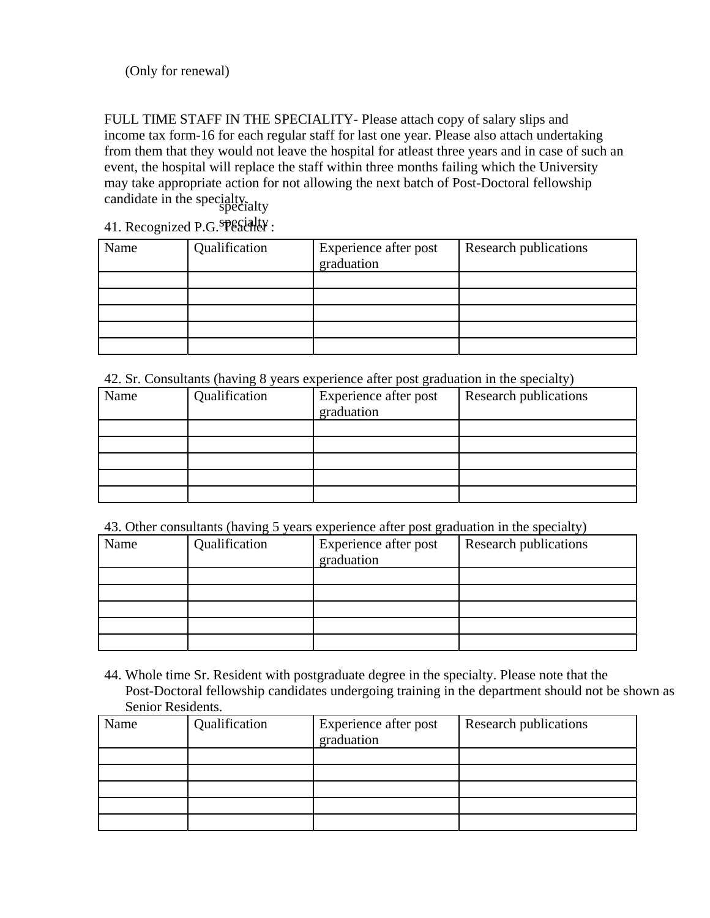(Only for renewal)

FULL TIME STAFF IN THE SPECIALITY- Please attach copy of salary slips and income tax form-16 for each regular staff for last one year. Please also attach undertaking from them that they would not leave the hospital for atleast three years and in case of such an event, the hospital will replace the staff within three months failing which the University may take appropriate action for not allowing the next batch of Post-Doctoral fellowship candidate in the specialty.

41. Recognized P.G. SPECHELLY :

| Name | Qualification | Experience after post<br>graduation | Research publications |
|------|---------------|-------------------------------------|-----------------------|
|      |               |                                     |                       |
|      |               |                                     |                       |
|      |               |                                     |                       |
|      |               |                                     |                       |
|      |               |                                     |                       |

42. Sr. Consultants (having 8 years experience after post graduation in the specialty)

| Name | Qualification | Experience after post<br>graduation | Research publications |
|------|---------------|-------------------------------------|-----------------------|
|      |               |                                     |                       |
|      |               |                                     |                       |
|      |               |                                     |                       |
|      |               |                                     |                       |
|      |               |                                     |                       |

43. Other consultants (having 5 years experience after post graduation in the specialty)

| Name | Qualification | Experience after post<br>graduation | <b>Research publications</b> |
|------|---------------|-------------------------------------|------------------------------|
|      |               |                                     |                              |
|      |               |                                     |                              |
|      |               |                                     |                              |
|      |               |                                     |                              |
|      |               |                                     |                              |

44. Whole time Sr. Resident with postgraduate degree in the specialty. Please note that the Post-Doctoral fellowship candidates undergoing training in the department should not be shown as Senior Residents.

| Name | Qualification | Experience after post<br>graduation | Research publications |
|------|---------------|-------------------------------------|-----------------------|
|      |               |                                     |                       |
|      |               |                                     |                       |
|      |               |                                     |                       |
|      |               |                                     |                       |
|      |               |                                     |                       |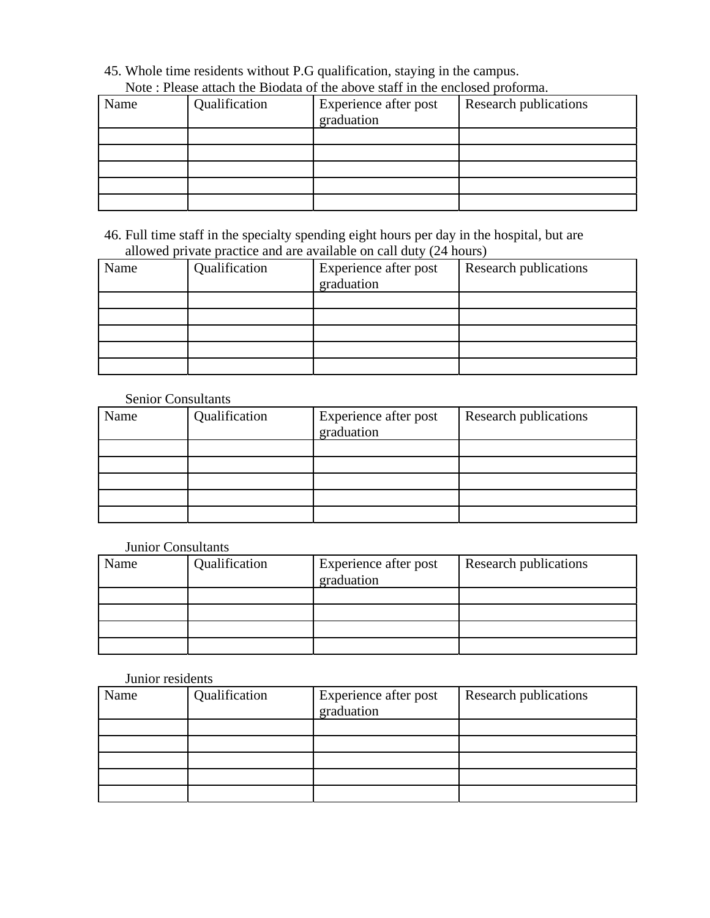#### 45. Whole time residents without P.G qualification, staying in the campus. Note : Please attach the Biodata of the above staff in the enclosed proforma.

| Thore I Tempe mimeli the Blogmin of the mootle bimit in the energoed proformin |               |                                     |                       |  |
|--------------------------------------------------------------------------------|---------------|-------------------------------------|-----------------------|--|
| Name                                                                           | Qualification | Experience after post<br>graduation | Research publications |  |
|                                                                                |               |                                     |                       |  |
|                                                                                |               |                                     |                       |  |
|                                                                                |               |                                     |                       |  |
|                                                                                |               |                                     |                       |  |
|                                                                                |               |                                     |                       |  |

46. Full time staff in the specialty spending eight hours per day in the hospital, but are allowed private practice and are available on call duty (24 hours)

| Name | Qualification | Experience after post<br>graduation | Research publications |
|------|---------------|-------------------------------------|-----------------------|
|      |               |                                     |                       |
|      |               |                                     |                       |
|      |               |                                     |                       |
|      |               |                                     |                       |
|      |               |                                     |                       |

### Senior Consultants

| Name | Qualification | Experience after post<br>graduation | Research publications |
|------|---------------|-------------------------------------|-----------------------|
|      |               |                                     |                       |
|      |               |                                     |                       |
|      |               |                                     |                       |
|      |               |                                     |                       |
|      |               |                                     |                       |

### Junior Consultants

| Name | Qualification | Experience after post<br>graduation | Research publications |
|------|---------------|-------------------------------------|-----------------------|
|      |               |                                     |                       |
|      |               |                                     |                       |
|      |               |                                     |                       |
|      |               |                                     |                       |

#### Junior residents

| Name | Qualification | Experience after post<br>graduation | Research publications |
|------|---------------|-------------------------------------|-----------------------|
|      |               |                                     |                       |
|      |               |                                     |                       |
|      |               |                                     |                       |
|      |               |                                     |                       |
|      |               |                                     |                       |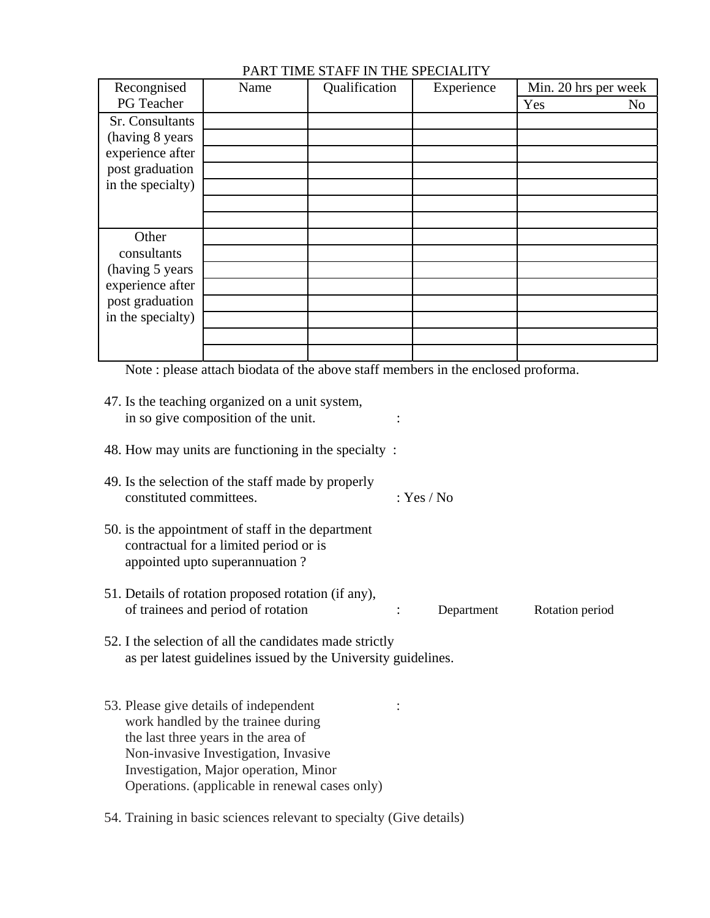| Recongnised       | Name | Qualification | Experience | Min. 20 hrs per week |
|-------------------|------|---------------|------------|----------------------|
| PG Teacher        |      |               |            | Yes<br>No            |
| Sr. Consultants   |      |               |            |                      |
| (having 8 years)  |      |               |            |                      |
| experience after  |      |               |            |                      |
| post graduation   |      |               |            |                      |
| in the specialty) |      |               |            |                      |
|                   |      |               |            |                      |
|                   |      |               |            |                      |
| Other             |      |               |            |                      |
| consultants       |      |               |            |                      |
| (having 5 years)  |      |               |            |                      |
| experience after  |      |               |            |                      |
| post graduation   |      |               |            |                      |
| in the specialty) |      |               |            |                      |
|                   |      |               |            |                      |
|                   |      |               |            |                      |

## PART TIME STAFF IN THE SPECIALITY

Note : please attach biodata of the above staff members in the enclosed proforma.

| 47. Is the teaching organized on a unit system,<br>in so give composition of the unit.                                                                                                                                                                 |            |            |                 |
|--------------------------------------------------------------------------------------------------------------------------------------------------------------------------------------------------------------------------------------------------------|------------|------------|-----------------|
| 48. How may units are functioning in the specialty:                                                                                                                                                                                                    |            |            |                 |
| 49. Is the selection of the staff made by properly<br>constituted committees.                                                                                                                                                                          | : Yes / No |            |                 |
| 50. is the appointment of staff in the department<br>contractual for a limited period or is<br>appointed upto superannuation?                                                                                                                          |            |            |                 |
| 51. Details of rotation proposed rotation (if any),<br>of trainees and period of rotation                                                                                                                                                              |            | Department | Rotation period |
| 52. I the selection of all the candidates made strictly<br>as per latest guidelines issued by the University guidelines.                                                                                                                               |            |            |                 |
| 53. Please give details of independent<br>work handled by the trainee during<br>the last three years in the area of<br>Non-invasive Investigation, Invasive<br>Investigation, Major operation, Minor<br>Operations. (applicable in renewal cases only) |            |            |                 |
| 54. Training in basic sciences relevant to specialty (Give details)                                                                                                                                                                                    |            |            |                 |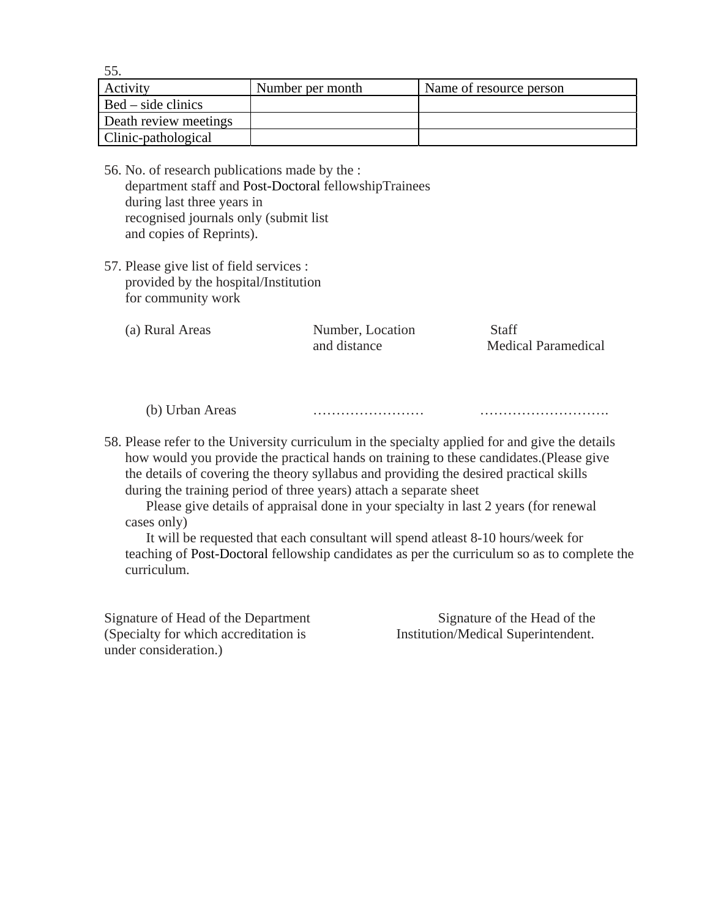55.

| Activity              | Number per month | Name of resource person |
|-----------------------|------------------|-------------------------|
| $Bed - side$ clinics  |                  |                         |
| Death review meetings |                  |                         |
| Clinic-pathological   |                  |                         |

- 56. No. of research publications made by the : department staff and Post-Doctoral fellowshipTrainees during last three years in recognised journals only (submit list and copies of Reprints).
- 57. Please give list of field services : provided by the hospital/Institution for community work

| (a) Rural Areas | Number, Location | Staff                      |
|-----------------|------------------|----------------------------|
|                 | and distance     | <b>Medical Paramedical</b> |

(b) Urban Areas …………………… ……………………….

58. Please refer to the University curriculum in the specialty applied for and give the details how would you provide the practical hands on training to these candidates.(Please give the details of covering the theory syllabus and providing the desired practical skills during the training period of three years) attach a separate sheet

Please give details of appraisal done in your specialty in last 2 years (for renewal cases only)

It will be requested that each consultant will spend atleast 8-10 hours/week for teaching of Post-Doctoral fellowship candidates as per the curriculum so as to complete the curriculum.

Signature of Head of the Department (Specialty for which accreditation is under consideration.)

Signature of the Head of the Institution/Medical Superintendent.